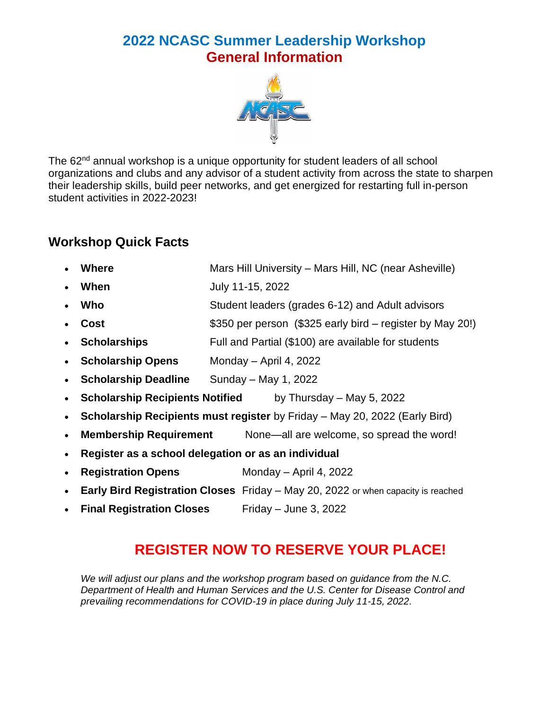# **2022 NCASC Summer Leadership Workshop General Information**



The 62<sup>nd</sup> annual workshop is a unique opportunity for student leaders of all school organizations and clubs and any advisor of a student activity from across the state to sharpen their leadership skills, build peer networks, and get energized for restarting full in-person student activities in 2022-2023!

### **Workshop Quick Facts**

- **Where** Mars Hill University Mars Hill, NC (near Asheville)
- **When** July 11-15, 2022
- **Who** Student leaders (grades 6-12) and Adult advisors
- **Cost \$350 per person** (\$325 early bird register by May 20!)
- **Scholarships** Full and Partial (\$100) are available for students
- **Scholarship Opens** Monday April 4, 2022
- **Scholarship Deadline** Sunday May 1, 2022
- **Scholarship Recipients Notified** by Thursday May 5, 2022
- **Scholarship Recipients must register** by Friday May 20, 2022 (Early Bird)
- **Membership Requirement** None—all are welcome, so spread the word!
- **Register as a school delegation or as an individual**
- **Registration Opens** Monday April 4, 2022
- **Early Bird Registration Closes** Friday May 20, 2022 or when capacity is reached
- **Final Registration Closes** Friday June 3, 2022

## **REGISTER NOW TO RESERVE YOUR PLACE!**

*We will adjust our plans and the workshop program based on guidance from the N.C. Department of Health and Human Services and the U.S. Center for Disease Control and prevailing recommendations for COVID-19 in place during July 11-15, 2022.*